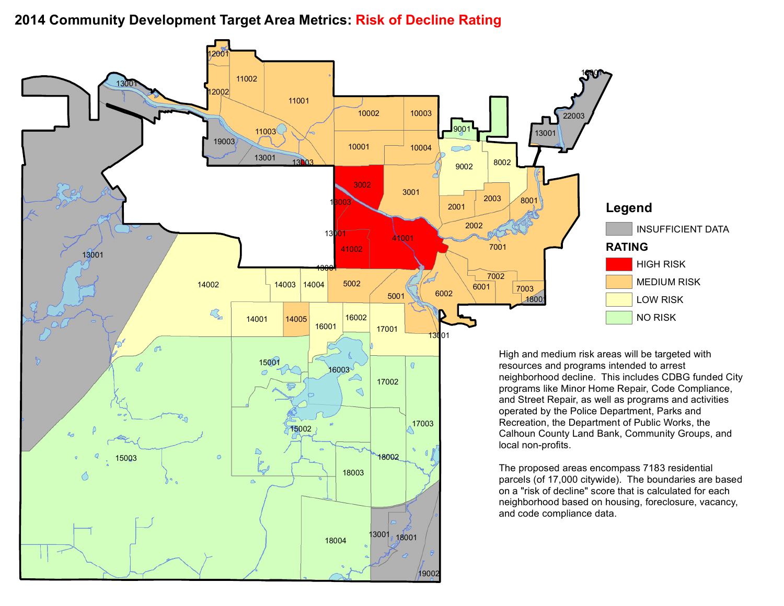## **Community Development Target Area Metrics: Risk of Decline Rating**

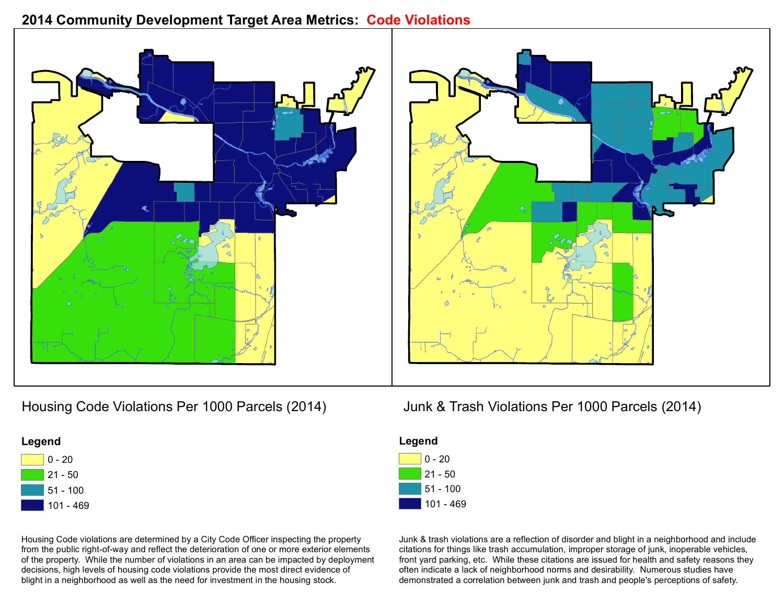## **2014 Community Development Target Area Metrics: Code Violations**







101 - 469

Housing Code violations are determined by a City Code Officer inspecting the property from the public right-of-way and reflect the deterioration of one or more exterior elements of the property. While the number of violations in an area can be impacted by deployment decisions, high levels of housing code violations provide the most direct evidence of blight in a neighborhood as well as the need for investment in the housing stock.



| Legend |            |
|--------|------------|
|        | $ 0 - 20$  |
|        | 21 - 50    |
|        | $51 - 100$ |
|        | 101 - 469  |

Junk & trash violations are a reflection of disorder and blight in a neighborhood and include citations for things like trash accumulation, improper storage of junk, inoperable vehicles, front yard parking, etc. While these citations are issued for health and safety reasons they often indicate a lack of neighborhood norms and desirability. Numerous studies have demonstrated a correlation between junk and trash and people's perceptions of safety.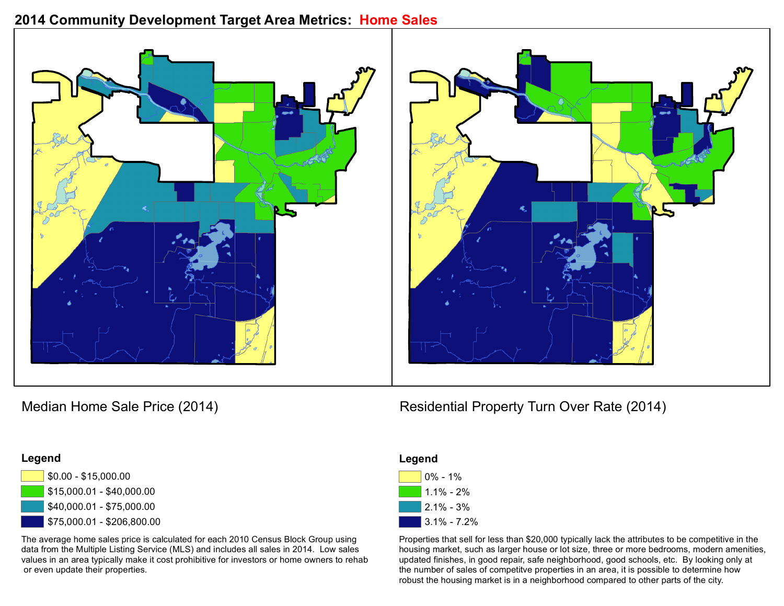### **2014 Community Development Target Area Metrics: Home Sales**





### **Legend**



The average home sales price is calculated for each 2010 Census Block Group using data from the Multiple Listing Service (MLS) and includes all sales in 2014. Low sales values in an area typically make it cost prohibitive for investors or home owners to rehab or even update their properties.

# Median Home Sale Price (2014) Median Home Sale Price (2014)

| Legend |                 |
|--------|-----------------|
|        | $0\% - 1\%$     |
|        | $1.1\% - 2\%$   |
|        | $2.1\% - 3\%$   |
|        | $3.1\% - 7.2\%$ |

Properties that sell for less than \$20,000 typically lack the attributes to be competitive in the housing market, such as larger house or lot size, three or more bedrooms, modern amenities, updated finishes, in good repair, safe neighborhood, good schools, etc. By looking only at the number of sales of competitve properties in an area, it is possible to determine how robust the housing market is in a neighborhood compared to other parts of the city.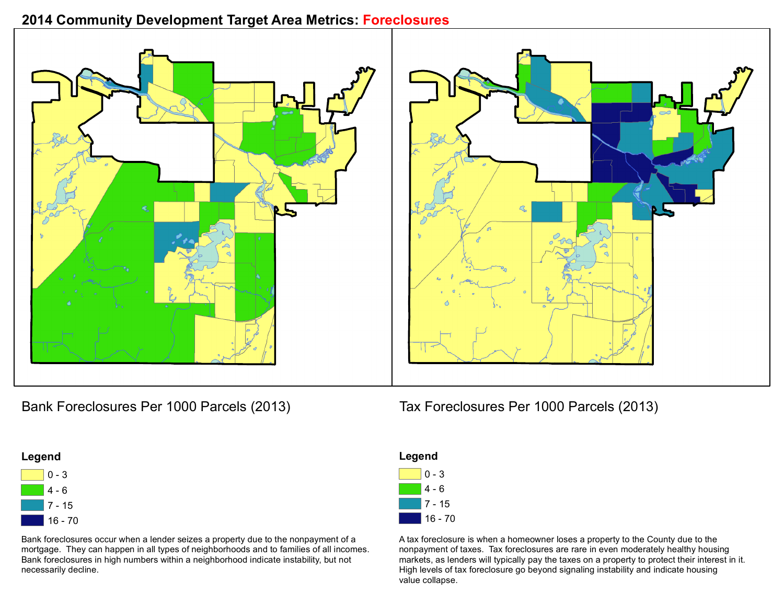# **2014 Community Development Target Area Metrics: Foreclosures**





Bank Foreclosures Per 1000 Parcels (2013) Tax Foreclosures Per 1000 Parcels (2013)





Bank foreclosures occur when a lender seizes a property due to the nonpayment of a mortgage. They can happen in all types of neighborhoods and to families of all incomes. Bank foreclosures in high numbers within a neighborhood indicate instability, but not necessarily decline.



A tax foreclosure is when a homeowner loses a property to the County due to the nonpayment of taxes. Tax foreclosures are rare in even moderately healthy housing markets, as lenders will typically pay the taxes on a property to protect their interest in it. High levels of tax foreclosure go beyond signaling instability and indicate housing value collapse.